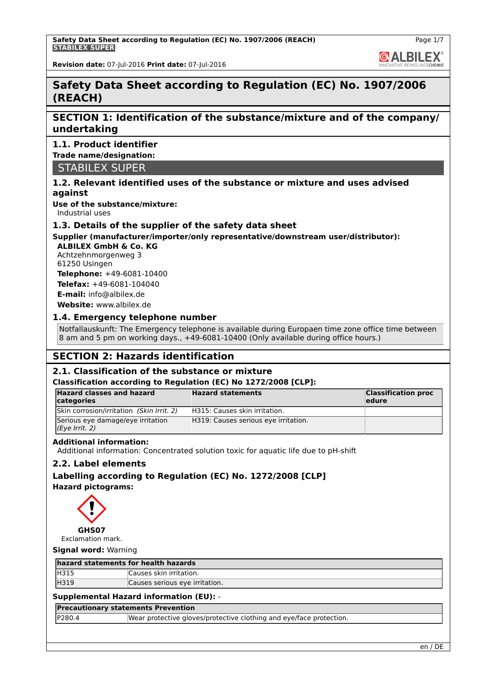**GALBILEX** 

**Revision date:** 07-Jul-2016 **Print date:** 07-Jul-2016

# **Safety Data Sheet according to Regulation (EC) No. 1907/2006 (REACH)**

# **SECTION 1: Identification of the substance/mixture and of the company/ undertaking**

# **1.1. Product identifier**

**Trade name/designation:**

STABILEX SUPER

# **1.2. Relevant identified uses of the substance or mixture and uses advised against**

**Use of the substance/mixture:**

Industrial uses

# **1.3. Details of the supplier of the safety data sheet**

# **Supplier (manufacturer/importer/only representative/downstream user/distributor):**

**ALBILEX GmbH & Co. KG** Achtzehnmorgenweg 3 61250 Usingen

**Telephone:** +49-6081-10400 **Telefax:** +49-6081-104040 **E-mail:** info@albilex.de

**Website:** www.albilex.de

# **1.4. Emergency telephone number**

Notfallauskunft: The Emergency telephone is available during Europaen time zone office time between 8 am and 5 pm on working days., +49-6081-10400 (Only available during office hours.)

# **SECTION 2: Hazards identification**

# **2.1. Classification of the substance or mixture**

# **Classification according to Regulation (EC) No 1272/2008 [CLP]:**

| <b>Hazard classes and hazard</b><br>categories      | <b>Hazard statements</b>             | <b>Classification proc</b><br>ledure |
|-----------------------------------------------------|--------------------------------------|--------------------------------------|
| Skin corrosion/irritation (Skin Irrit. 2)           | H315: Causes skin irritation.        |                                      |
| Serious eye damage/eye irritation<br>(Eye Irrit. 2) | H319: Causes serious eye irritation. |                                      |

# **Additional information:**

Additional information: Concentrated solution toxic for aquatic life due to pH-shift

# **2.2. Label elements**

**Labelling according to Regulation (EC) No. 1272/2008 [CLP] Hazard pictograms:**



Exclamation mark.

# **Signal word:** Warning

| hazard statements for health hazards |                                |
|--------------------------------------|--------------------------------|
| <b>H315</b>                          | Causes skin irritation.        |
| H319                                 | Causes serious eye irritation. |

# **Supplemental Hazard information (EU):** -

**Precautionary statements Prevention**

| P280.4 | Wear protective gloves/protective clothing and eye/face protection. |
|--------|---------------------------------------------------------------------|
|        |                                                                     |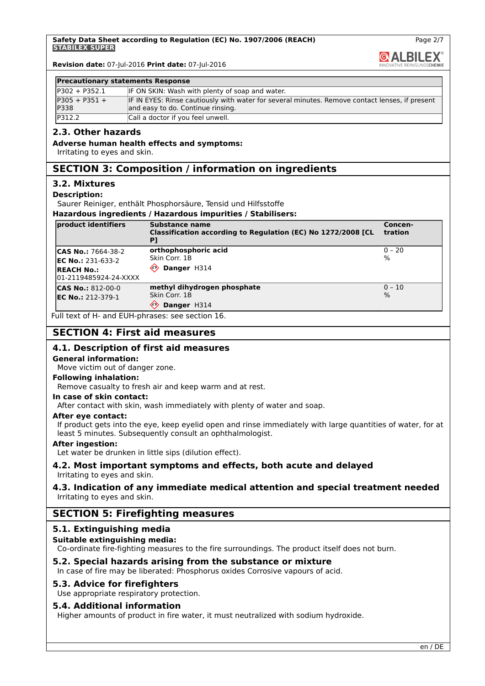**GALBILEX** 

Page 2/7

**Revision date:** 07-Jul-2016 **Print date:** 07-Jul-2016

#### **Precautionary statements Response**

| $IP302 + P352.1$               | IF ON SKIN: Wash with plenty of soap and water.                                                                                     |
|--------------------------------|-------------------------------------------------------------------------------------------------------------------------------------|
| $P305 + P351 +$<br><b>P338</b> | IF IN EYES: Rinse cautiously with water for several minutes. Remove contact lenses, if present<br>and easy to do. Continue rinsing. |
| P312.2                         | Call a doctor if you feel unwell.                                                                                                   |

# **2.3. Other hazards**

## **Adverse human health effects and symptoms:**

Irritating to eyes and skin.

# **SECTION 3: Composition / information on ingredients**

# **3.2. Mixtures**

#### **Description:**

Saurer Reiniger, enthält Phosphorsäure, Tensid und Hilfsstoffe

**Hazardous ingredients / Hazardous impurities / Stabilisers:**

| product identifiers                                                                                  | Substance name<br>Classification according to Regulation (EC) No 1272/2008 [CL         | Concen-<br>tration |
|------------------------------------------------------------------------------------------------------|----------------------------------------------------------------------------------------|--------------------|
| <b>CAS No.: 7664-38-2</b><br><b>IEC No.: 231-633-2</b><br><b>REACH No.:</b><br>01-2119485924-24-XXXX | orthophosphoric acid<br>Skin Corr. 1B<br>⇐<br>Danger H314                              | $ 0 - 20$<br>$\%$  |
| $\textsf{ICAS No.: } 812-00-0$<br><b>EC No.: 212-379-1</b>                                           | methyl dihydrogen phosphate<br>Skin Corr, 1B<br>$\langle \cdot \rangle$<br>Danger H314 | $ 0 - 10 $<br>$\%$ |

Full text of H- and EUH-phrases: see section 16.

# **SECTION 4: First aid measures**

# **4.1. Description of first aid measures**

#### **General information:**

Move victim out of danger zone.

#### **Following inhalation:**

Remove casualty to fresh air and keep warm and at rest.

#### **In case of skin contact:**

After contact with skin, wash immediately with plenty of water and soap.

#### **After eye contact:**

If product gets into the eye, keep eyelid open and rinse immediately with large quantities of water, for at least 5 minutes. Subsequently consult an ophthalmologist.

#### **After ingestion:**

Let water be drunken in little sips (dilution effect).

# **4.2. Most important symptoms and effects, both acute and delayed**

Irritating to eyes and skin.

## **4.3. Indication of any immediate medical attention and special treatment needed** Irritating to eyes and skin.

# **SECTION 5: Firefighting measures**

# **5.1. Extinguishing media**

# **Suitable extinguishing media:**

Co-ordinate fire-fighting measures to the fire surroundings. The product itself does not burn.

# **5.2. Special hazards arising from the substance or mixture**

In case of fire may be liberated: Phosphorus oxides Corrosive vapours of acid.

#### **5.3. Advice for firefighters**

Use appropriate respiratory protection.

#### **5.4. Additional information**

Higher amounts of product in fire water, it must neutralized with sodium hydroxide.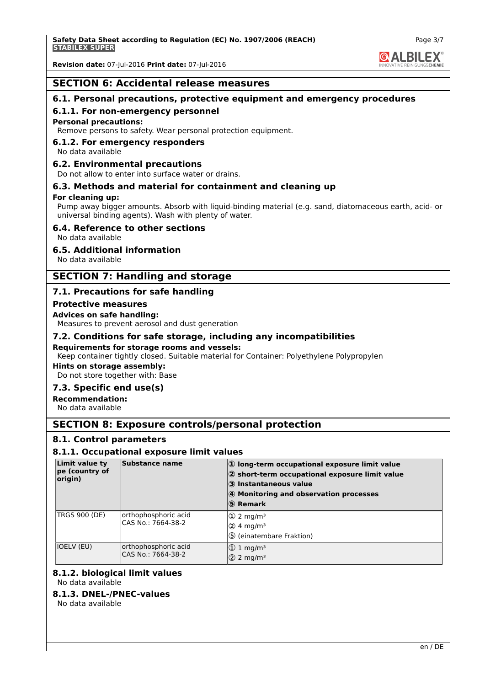**GALBILEX** 

Page 3/7

**Revision date:** 07-Jul-2016 **Print date:** 07-Jul-2016

# **SECTION 6: Accidental release measures**

# **6.1. Personal precautions, protective equipment and emergency procedures**

#### **6.1.1. For non-emergency personnel**

#### **Personal precautions:**

Remove persons to safety. Wear personal protection equipment.

# **6.1.2. For emergency responders**

No data available

#### **6.2. Environmental precautions**

Do not allow to enter into surface water or drains.

# **6.3. Methods and material for containment and cleaning up**

#### **For cleaning up:**

Pump away bigger amounts. Absorb with liquid-binding material (e.g. sand, diatomaceous earth, acid- or universal binding agents). Wash with plenty of water.

### **6.4. Reference to other sections**

No data available

## **6.5. Additional information**

No data available

# **SECTION 7: Handling and storage**

# **7.1. Precautions for safe handling**

#### **Protective measures**

#### **Advices on safe handling:**

Measures to prevent aerosol and dust generation

## **7.2. Conditions for safe storage, including any incompatibilities**

#### **Requirements for storage rooms and vessels:**

Keep container tightly closed. Suitable material for Container: Polyethylene Polypropylen

# **Hints on storage assembly:**

Do not store together with: Base

# **7.3. Specific end use(s)**

**Recommendation:**

No data available

# **SECTION 8: Exposure controls/personal protection**

#### **8.1. Control parameters**

#### **8.1.1. Occupational exposure limit values**

| Limit value ty<br>pe (country of<br>origin) | Substance name                             | 1) long-term occupational exposure limit value<br>2 short-term occupational exposure limit value<br>3 Instantaneous value<br>4 Monitoring and observation processes<br>5 Remark |
|---------------------------------------------|--------------------------------------------|---------------------------------------------------------------------------------------------------------------------------------------------------------------------------------|
| <b>TRGS 900 (DE)</b>                        | orthophosphoric acid<br>CAS No.: 7664-38-2 | $\textcircled{1}$ 2 mg/m <sup>3</sup><br>$(2)$ 4 mg/m <sup>3</sup><br>5 (einatembare Fraktion)                                                                                  |
| IOELV (EU)                                  | orthophosphoric acid<br>CAS No.: 7664-38-2 | $\textcircled{1}$ mg/m <sup>3</sup><br>$(2)$ 2 mg/m <sup>3</sup>                                                                                                                |

#### **8.1.2. biological limit values** No data available

**8.1.3. DNEL-/PNEC-values** No data available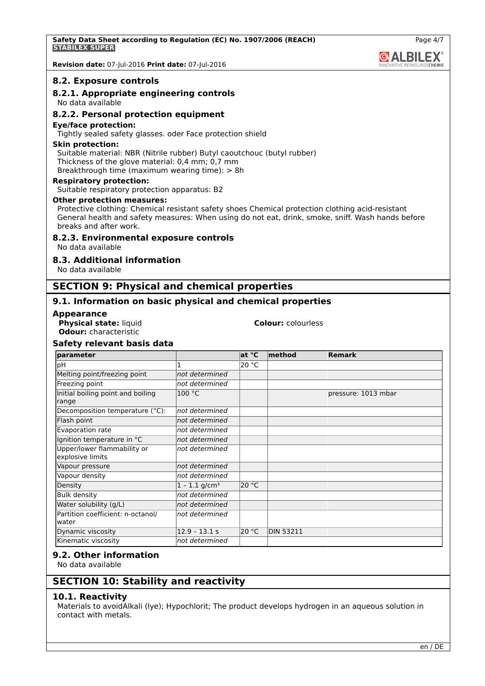**Revision date:** 07-Jul-2016 **Print date:** 07-Jul-2016

#### **8.2. Exposure controls**

# **8.2.1. Appropriate engineering controls**

No data available

# **8.2.2. Personal protection equipment**

#### **Eye/face protection:**

Tightly sealed safety glasses. oder Face protection shield

#### **Skin protection:**

Suitable material: NBR (Nitrile rubber) Butyl caoutchouc (butyl rubber) Thickness of the glove material: 0,4 mm; 0,7 mm Breakthrough time (maximum wearing time): > 8h

#### **Respiratory protection:**

Suitable respiratory protection apparatus: B2

#### **Other protection measures:**

Protective clothing: Chemical resistant safety shoes Chemical protection clothing acid-resistant General health and safety measures: When using do not eat, drink, smoke, sniff. Wash hands before breaks and after work.

#### **8.2.3. Environmental exposure controls**

No data available

# **8.3. Additional information**

No data available

# **SECTION 9: Physical and chemical properties**

# **9.1. Information on basic physical and chemical properties**

#### **Appearance**

**Physical state:** liquid **Colour:** colourless **Odour:** characteristic

#### **Safety relevant basis data parameter at °C method Remark** pH 20 °C Melting point/freezing point *not determined* Freezing point *not determined* Initial boiling point and boiling range 100 °C pressure: 1013 mbar Decomposition temperature (°C): *not determined* Flash point *not determined* Evaporation rate *not determined* Ignition temperature in °C *not determined* Upper/lower flammability or explosive limits *not determined* Vapour pressure *not determined* Vapour density *not determined* Density  $1 - 1.1$  g/cm<sup>3</sup> 20 °C Bulk density *not determined* Water solubility (g/L) *not determined* Partition coefficient: n-octanol/ *not determined*

#### **9.2. Other information**

No data available

water

# **SECTION 10: Stability and reactivity**

Kinematic viscosity *not determined*

**Dynamic viscosity** 12.9 – 13.1 s 20 °C DIN 53211

# **10.1. Reactivity**

Materials to avoidAlkali (lye); Hypochlorit; The product develops hydrogen in an aqueous solution in contact with metals.

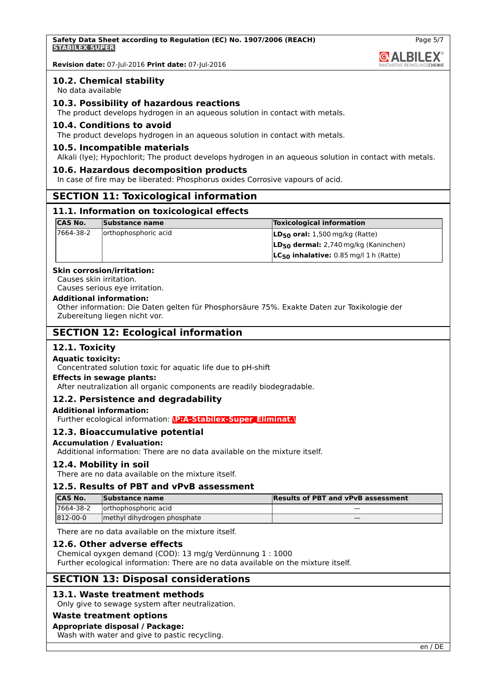**Safety Data Sheet according to Regulation (EC) No. 1907/2006 (REACH) STABILEX SUPER**

**Revision date:** 07-Jul-2016 **Print date:** 07-Jul-2016

## **10.2. Chemical stability**

No data available

# **10.3. Possibility of hazardous reactions**

The product develops hydrogen in an aqueous solution in contact with metals.

#### **10.4. Conditions to avoid**

The product develops hydrogen in an aqueous solution in contact with metals.

#### **10.5. Incompatible materials**

Alkali (lye); Hypochlorit; The product develops hydrogen in an aqueous solution in contact with metals.

#### **10.6. Hazardous decomposition products**

In case of fire may be liberated: Phosphorus oxides Corrosive vapours of acid.

# **SECTION 11: Toxicological information**

#### **11.1. Information on toxicological effects**

| <b>CAS No.</b> | Substance name       | <b>Toxicological information</b>            |
|----------------|----------------------|---------------------------------------------|
| 7664-38-2      | orthophosphoric acid | $LD_{50}$ oral: 1,500 mg/kg (Ratte)         |
|                |                      | $LD_{50}$ dermal: 2,740 mg/kg (Kaninchen)   |
|                |                      | $LC_{50}$ inhalative: 0.85 mg/l 1 h (Ratte) |

#### **Skin corrosion/irritation:**

Causes skin irritation. Causes serious eye irritation.

#### **Additional information:**

Other information: Die Daten gelten für Phosphorsäure 75%. Exakte Daten zur Toxikologie der Zubereitung liegen nicht vor.

# **SECTION 12: Ecological information**

# **12.1. Toxicity**

#### **Aquatic toxicity:**

Concentrated solution toxic for aquatic life due to pH-shift

#### **Effects in sewage plants:**

After neutralization all organic components are readily biodegradable.

# **12.2. Persistence and degradability**

#### **Additional information:**

Further ecological information: **\P:A-Stabilex-Super\_Eliminat.\**

# **12.3. Bioaccumulative potential**

#### **Accumulation / Evaluation:**

Additional information: There are no data available on the mixture itself.

#### **12.4. Mobility in soil**

There are no data available on the mixture itself.

# **12.5. Results of PBT and vPvB assessment**

| <b>CAS No.</b> | Substance name              | <b>Results of PBT and vPvB assessment</b> |
|----------------|-----------------------------|-------------------------------------------|
| 17664-38-2     | lorthophosphoric acid       |                                           |
| 812-00-0       | methyl dihydrogen phosphate |                                           |

There are no data available on the mixture itself.

#### **12.6. Other adverse effects**

Chemical oyxgen demand (COD): 13 mg/g Verdünnung 1 : 1000 Further ecological information: There are no data available on the mixture itself.

# **SECTION 13: Disposal considerations**

# **13.1. Waste treatment methods**

Only give to sewage system after neutralization.

#### **Waste treatment options**

#### **Appropriate disposal / Package:**

Wash with water and give to pastic recycling.

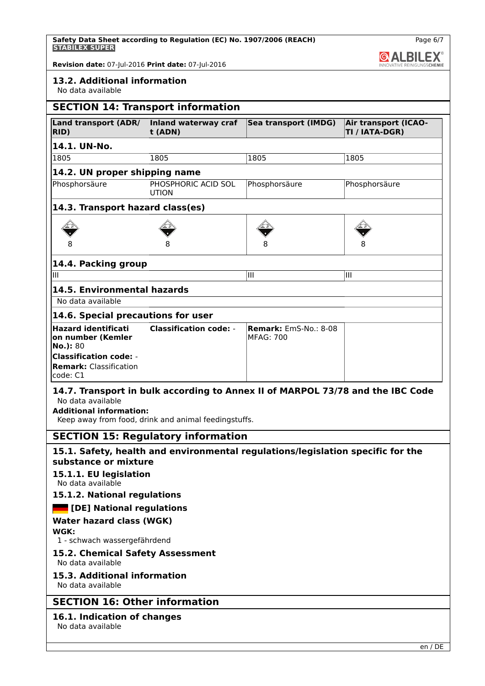**Safety Data Sheet according to Regulation (EC) No. 1907/2006 (REACH) STABILEX SUPER**

Page 6/7 **& ALBILEX®** 

**Revision date:** 07-Jul-2016 **Print date:** 07-Jul-2016

# **13.2. Additional information**

No data available

|                                                                            | <b>SECTION 14: Transport information</b> |                                                       |                                        |
|----------------------------------------------------------------------------|------------------------------------------|-------------------------------------------------------|----------------------------------------|
| <b>Land transport (ADR/</b><br>RID)                                        | Inland waterway craf<br>t (ADN)          | Sea transport (IMDG)                                  | Air transport (ICAO-<br>TI / IATA-DGR) |
| 14.1. UN-No.                                                               |                                          |                                                       |                                        |
| 1805                                                                       | 1805                                     | 1805                                                  | 1805                                   |
| 14.2. UN proper shipping name                                              |                                          |                                                       |                                        |
| Phosphorsäure                                                              | PHOSPHORIC ACID SOL<br><b>UTION</b>      | Phosphorsäure                                         | Phosphorsäure                          |
| 14.3. Transport hazard class(es)                                           |                                          |                                                       |                                        |
|                                                                            |                                          |                                                       |                                        |
|                                                                            |                                          |                                                       |                                        |
| 14.4. Packing group                                                        |                                          |                                                       |                                        |
| Ш                                                                          |                                          | Ш                                                     | Ш                                      |
| 14.5. Environmental hazards                                                |                                          |                                                       |                                        |
| No data available                                                          |                                          |                                                       |                                        |
| 14.6. Special precautions for user                                         |                                          |                                                       |                                        |
| <b>Hazard identificati</b><br>on number (Kemler<br>No.): 80                | <b>Classification code: -</b>            | <b>Remark:</b> $FMS-NO.$ : $8-08$<br><b>MFAG: 700</b> |                                        |
| <b>Classification code: -</b><br><b>Remark: Classification</b><br>code: C1 |                                          |                                                       |                                        |

## **14.7. Transport in bulk according to Annex II of MARPOL 73/78 and the IBC Code** No data available

**Additional information:**

Keep away from food, drink and animal feedingstuffs.

# **SECTION 15: Regulatory information**

# **15.1. Safety, health and environmental regulations/legislation specific for the substance or mixture**

# **15.1.1. EU legislation**

No data available

# **15.1.2. National regulations**

# **[DE] National regulations**

# **Water hazard class (WGK)**

**WGK:**

# 1 - schwach wassergefährdend

# **15.2. Chemical Safety Assessment**

No data available

# **15.3. Additional information**

No data available

# **SECTION 16: Other information**

# **16.1. Indication of changes**

No data available